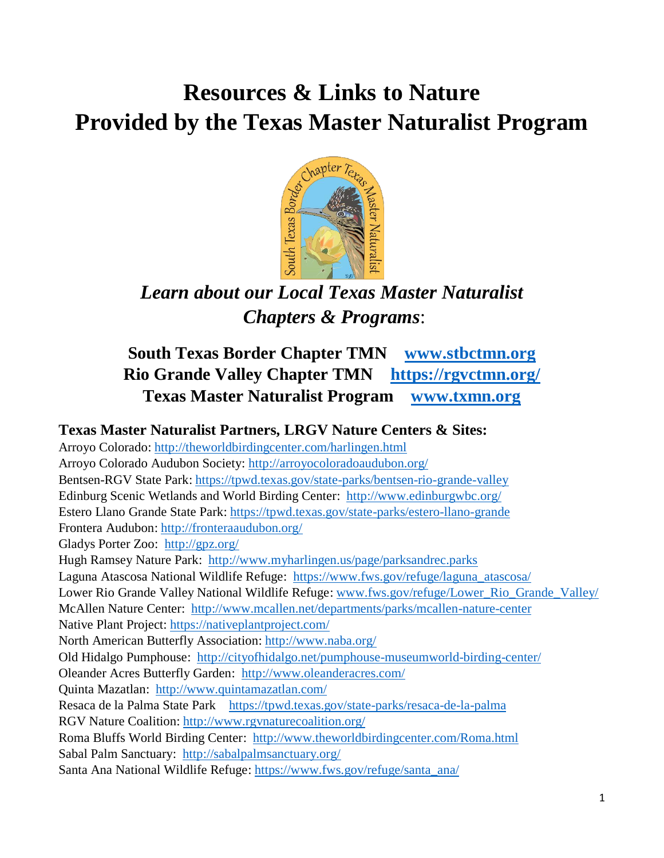# **Resources & Links to Nature Provided by the Texas Master Naturalist Program**



## *Learn about our Local Texas Master Naturalist Chapters & Programs*:

### **South Texas Border Chapter TMN [www.stbctmn.org](http://www.stbctmn.org/) Rio Grande Valley Chapter TMN <https://rgvctmn.org/> Texas Master Naturalist Program [www.txmn.org](http://www.txmn.org/)**

#### **Texas Master Naturalist Partners, LRGV Nature Centers & Sites:**

Arroyo Colorado:<http://theworldbirdingcenter.com/harlingen.html> Arroyo Colorado Audubon Society:<http://arroyocoloradoaudubon.org/> Bentsen-RGV State Park: <https://tpwd.texas.gov/state-parks/bentsen-rio-grande-valley> Edinburg Scenic Wetlands and World Birding Center: <http://www.edinburgwbc.org/> Estero Llano Grande State Park: <https://tpwd.texas.gov/state-parks/estero-llano-grande> Frontera Audubon: <http://fronteraaudubon.org/> Gladys Porter Zoo: <http://gpz.org/> Hugh Ramsey Nature Park: <http://www.myharlingen.us/page/parksandrec.parks> Laguna Atascosa National Wildlife Refuge: [https://www.fws.gov/refuge/laguna\\_atascosa/](https://www.fws.gov/refuge/laguna_atascosa/) Lower Rio Grande Valley National Wildlife Refuge: [www.fws.gov/refuge/Lower\\_Rio\\_Grande\\_Valley/](http://www.fws.gov/refuge/Lower_Rio_Grande_Valley/) McAllen Nature Center: <http://www.mcallen.net/departments/parks/mcallen-nature-center> Native Plant Project:<https://nativeplantproject.com/> North American Butterfly Association: <http://www.naba.org/> Old Hidalgo Pumphouse: <http://cityofhidalgo.net/pumphouse-museumworld-birding-center/> Oleander Acres Butterfly Garden: <http://www.oleanderacres.com/> Quinta Mazatlan: <http://www.quintamazatlan.com/> Resaca de la Palma State Park <https://tpwd.texas.gov/state-parks/resaca-de-la-palma> RGV Nature Coalition: <http://www.rgvnaturecoalition.org/> Roma Bluffs World Birding Center: <http://www.theworldbirdingcenter.com/Roma.html> Sabal Palm Sanctuary: <http://sabalpalmsanctuary.org/> Santa Ana National Wildlife Refuge: [https://www.fws.gov/refuge/santa\\_ana/](https://www.fws.gov/refuge/santa_ana/)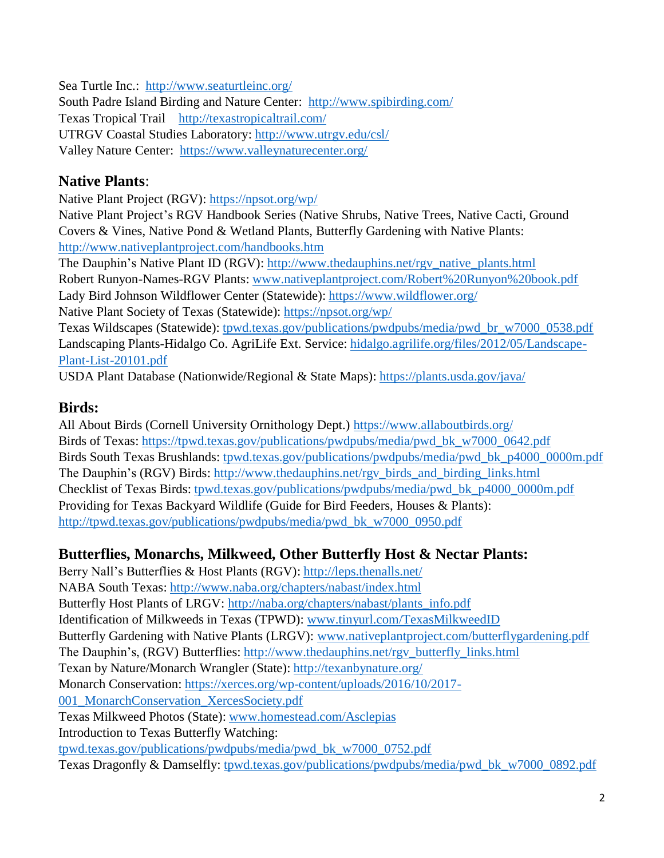Sea Turtle Inc.: <http://www.seaturtleinc.org/> South Padre Island Birding and Nature Center: <http://www.spibirding.com/> Texas Tropical Trail <http://texastropicaltrail.com/> UTRGV Coastal Studies Laboratory: <http://www.utrgv.edu/csl/> Valley Nature Center: <https://www.valleynaturecenter.org/>

#### **Native Plants**:

Native Plant Project (RGV):<https://npsot.org/wp/>

Native Plant Project's RGV Handbook Series (Native Shrubs, Native Trees, Native Cacti, Ground Covers & Vines, Native Pond & Wetland Plants, Butterfly Gardening with Native Plants: <http://www.nativeplantproject.com/handbooks.htm>

The Dauphin's Native Plant ID (RGV): [http://www.thedauphins.net/rgv\\_native\\_plants.html](http://www.thedauphins.net/rgv_native_plants.html) Robert Runyon-Names-RGV Plants: [www.nativeplantproject.com/Robert%20Runyon%20book.pdf](http://www.nativeplantproject.com/Robert%20Runyon%20book.pdf) Lady Bird Johnson Wildflower Center (Statewide):<https://www.wildflower.org/>

Native Plant Society of Texas (Statewide):<https://npsot.org/wp/>

Texas Wildscapes (Statewide): [tpwd.texas.gov/publications/pwdpubs/media/pwd\\_br\\_w7000\\_0538.pdf](https://tpwd.texas.gov/publications/pwdpubs/media/pwd_br_w7000_0538.pdf) Landscaping Plants-Hidalgo Co. AgriLife Ext. Service: [hidalgo.agrilife.org/files/2012/05/Landscape-](http://hidalgo.agrilife.org/files/2012/05/Landscape-Plant-List-20101.pdf)[Plant-List-20101.pdf](http://hidalgo.agrilife.org/files/2012/05/Landscape-Plant-List-20101.pdf)

USDA Plant Database (Nationwide/Regional & State Maps):<https://plants.usda.gov/java/>

#### **Birds:**

All About Birds (Cornell University Ornithology Dept.)<https://www.allaboutbirds.org/> Birds of Texas: [https://tpwd.texas.gov/publications/pwdpubs/media/pwd\\_bk\\_w7000\\_0642.pdf](https://tpwd.texas.gov/publications/pwdpubs/media/pwd_bk_w7000_0642.pdf) Birds South Texas Brushlands: [tpwd.texas.gov/publications/pwdpubs/media/pwd\\_bk\\_p4000\\_0000m.pdf](https://tpwd.texas.gov/publications/pwdpubs/media/pwd_bk_p4000_0000m.pdf) The Dauphin's (RGV) Birds: [http://www.thedauphins.net/rgv\\_birds\\_and\\_birding\\_links.html](http://www.thedauphins.net/rgv_birds_and_birding_links.html) Checklist of Texas Birds: [tpwd.texas.gov/publications/pwdpubs/media/pwd\\_bk\\_p4000\\_0000m.pdf](https://tpwd.texas.gov/publications/pwdpubs/media/pwd_bk_p4000_0000m.pdf) Providing for Texas Backyard Wildlife (Guide for Bird Feeders, Houses & Plants): [http://tpwd.texas.gov/publications/pwdpubs/media/pwd\\_bk\\_w7000\\_0950.pdf](http://tpwd.texas.gov/publications/pwdpubs/media/pwd_bk_w7000_0950.pdf)

#### **Butterflies, Monarchs, Milkweed, Other Butterfly Host & Nectar Plants:**

Berry Nall's Butterflies & Host Plants (RGV):<http://leps.thenalls.net/> NABA South Texas:<http://www.naba.org/chapters/nabast/index.html> Butterfly Host Plants of LRGV: [http://naba.org/chapters/nabast/plants\\_info.pdf](http://naba.org/chapters/nabast/plants_info.pdf) Identification of Milkweeds in Texas (TPWD): [www.tinyurl.com/TexasMilkweedID](http://www.tinyurl.com/TexasMilkweedID) Butterfly Gardening with Native Plants (LRGV): [www.nativeplantproject.com/butterflygardening.pdf](http://www.nativeplantproject.com/butterflygardening.pdf) The Dauphin's, (RGV) Butterflies: [http://www.thedauphins.net/rgv\\_butterfly\\_links.html](http://www.thedauphins.net/rgv_butterfly_links.html) Texan by Nature/Monarch Wrangler (State):<http://texanbynature.org/> Monarch Conservation: [https://xerces.org/wp-content/uploads/2016/10/2017-](https://xerces.org/wp-content/uploads/2016/10/2017-001_MonarchConservation_XercesSociety.pdf) [001\\_MonarchConservation\\_XercesSociety.pdf](https://xerces.org/wp-content/uploads/2016/10/2017-001_MonarchConservation_XercesSociety.pdf) Texas Milkweed Photos (State): [www.homestead.com/Asclepias](http://www.homestead.com/Asclepias) Introduction to Texas Butterfly Watching: [tpwd.texas.gov/publications/pwdpubs/media/pwd\\_bk\\_w7000\\_0752.pdf](https://tpwd.texas.gov/publications/pwdpubs/media/pwd_bk_w7000_0752.pdf) Texas Dragonfly & Damselfly: [tpwd.texas.gov/publications/pwdpubs/media/pwd\\_bk\\_w7000\\_0892.pdf](https://tpwd.texas.gov/publications/pwdpubs/media/pwd_bk_w7000_0892.pdf)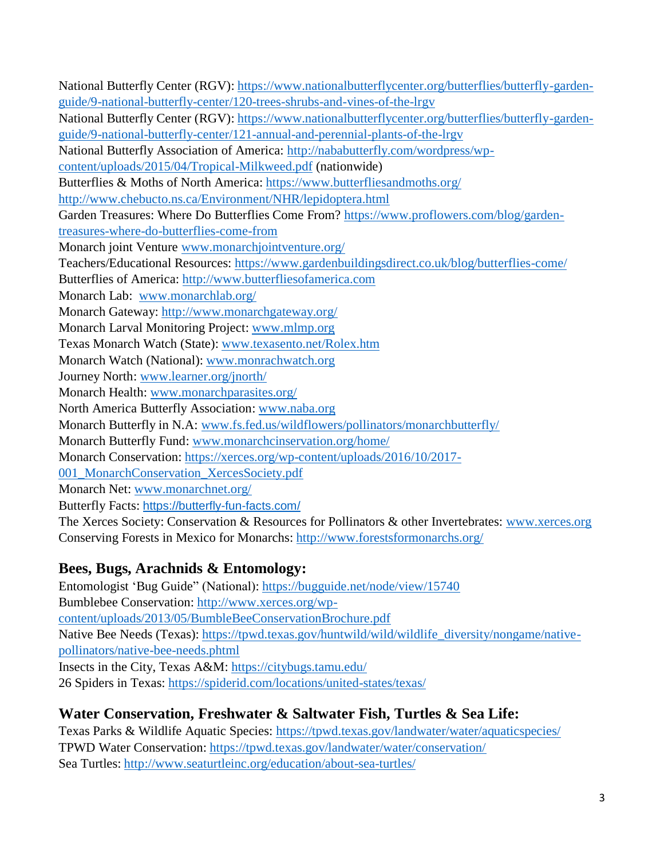National Butterfly Center (RGV): [https://www.nationalbutterflycenter.org/butterflies/butterfly-garden](https://www.nationalbutterflycenter.org/butterflies/butterfly-garden-guide/9-national-butterfly-center/120-trees-shrubs-and-vines-of-the-lrgv)[guide/9-national-butterfly-center/120-trees-shrubs-and-vines-of-the-lrgv](https://www.nationalbutterflycenter.org/butterflies/butterfly-garden-guide/9-national-butterfly-center/120-trees-shrubs-and-vines-of-the-lrgv) National Butterfly Center (RGV): [https://www.nationalbutterflycenter.org/butterflies/butterfly-garden](https://www.nationalbutterflycenter.org/butterflies/butterfly-garden-guide/9-national-butterfly-center/121-annual-and-perennial-plants-of-the-lrgv)[guide/9-national-butterfly-center/121-annual-and-perennial-plants-of-the-lrgv](https://www.nationalbutterflycenter.org/butterflies/butterfly-garden-guide/9-national-butterfly-center/121-annual-and-perennial-plants-of-the-lrgv) National Butterfly Association of America: [http://nababutterfly.com/wordpress/wp](http://nababutterfly.com/wordpress/wp-content/uploads/2015/04/Tropical-Milkweed.pdf)[content/uploads/2015/04/Tropical-Milkweed.pdf](http://nababutterfly.com/wordpress/wp-content/uploads/2015/04/Tropical-Milkweed.pdf) (nationwide) Butterflies & Moths of North America:<https://www.butterfliesandmoths.org/> <http://www.chebucto.ns.ca/Environment/NHR/lepidoptera.html> Garden Treasures: Where Do Butterflies Come From? [https://www.proflowers.com/blog/garden](https://www.proflowers.com/blog/garden-treasures-where-do-butterflies-come-from)[treasures-where-do-butterflies-come-from](https://www.proflowers.com/blog/garden-treasures-where-do-butterflies-come-from) Monarch joint Venture [www.monarchjointventure.org/](http://www.monarchjointventure.org/) Teachers/Educational Resources:<https://www.gardenbuildingsdirect.co.uk/blog/butterflies-come/> Butterflies of America: [http://www.butterfliesofamerica.com](http://www.butterfliesofamerica.com/) Monarch Lab: [www.monarchlab.org/](http://www.monarchlab.org/) Monarch Gateway:<http://www.monarchgateway.org/> Monarch Larval Monitoring Project: [www.mlmp.org](http://www.mlmp.org/) Texas Monarch Watch (State): [www.texasento.net/Rolex.htm](http://www.texasento.net/Rolex.htm) Monarch Watch (National): [www.monrachwatch.org](http://www.monrachwatch.org/) Journey North: [www.learner.org/jnorth/](http://www.learner.org/jnorth/) Monarch Health: [www.monarchparasites.org/](http://www.monarchparasites.org/) North America Butterfly Association: [www.naba.org](http://www.naba.org/) Monarch Butterfly in N.A: [www.fs.fed.us/wildflowers/pollinators/monarchbutterfly/](http://www.fs.fed.us/wildflowers/pollinators/monarchbutterfly/) Monarch Butterfly Fund: [www.monarchcinservation.org/home/](http://www.monarchcinservation.org/home/) Monarch Conservation: [https://xerces.org/wp-content/uploads/2016/10/2017-](https://xerces.org/wp-content/uploads/2016/10/2017-001_MonarchConservation_XercesSociety.pdf) [001\\_MonarchConservation\\_XercesSociety.pdf](https://xerces.org/wp-content/uploads/2016/10/2017-001_MonarchConservation_XercesSociety.pdf) Monarch Net: [www.monarchnet.org/](http://www.monarchnet.org/) Butterfly Facts: <https://butterfly-fun-facts.com/> The Xerces Society: Conservation & Resources for Pollinators & other Invertebrates: [www.xerces.org](http://www.xerces.org/) Conserving Forests in Mexico for Monarchs:<http://www.forestsformonarchs.org/>

#### **Bees, Bugs, Arachnids & Entomology:**

Entomologist 'Bug Guide" (National):<https://bugguide.net/node/view/15740> Bumblebee Conservation: [http://www.xerces.org/wp](http://www.xerces.org/wp-content/uploads/2013/05/BumbleBeeConservationBrochure.pdf)[content/uploads/2013/05/BumbleBeeConservationBrochure.pdf](http://www.xerces.org/wp-content/uploads/2013/05/BumbleBeeConservationBrochure.pdf) Native Bee Needs (Texas): [https://tpwd.texas.gov/huntwild/wild/wildlife\\_diversity/nongame/native](https://tpwd.texas.gov/huntwild/wild/wildlife_diversity/nongame/native-pollinators/native-bee-needs.phtml)[pollinators/native-bee-needs.phtml](https://tpwd.texas.gov/huntwild/wild/wildlife_diversity/nongame/native-pollinators/native-bee-needs.phtml) Insects in the City, Texas A&M:<https://citybugs.tamu.edu/> 26 Spiders in Texas:<https://spiderid.com/locations/united-states/texas/>

#### **Water Conservation, Freshwater & Saltwater Fish, Turtles & Sea Life:**

Texas Parks & Wildlife Aquatic Species:<https://tpwd.texas.gov/landwater/water/aquaticspecies/> TPWD Water Conservation:<https://tpwd.texas.gov/landwater/water/conservation/> Sea Turtles:<http://www.seaturtleinc.org/education/about-sea-turtles/>